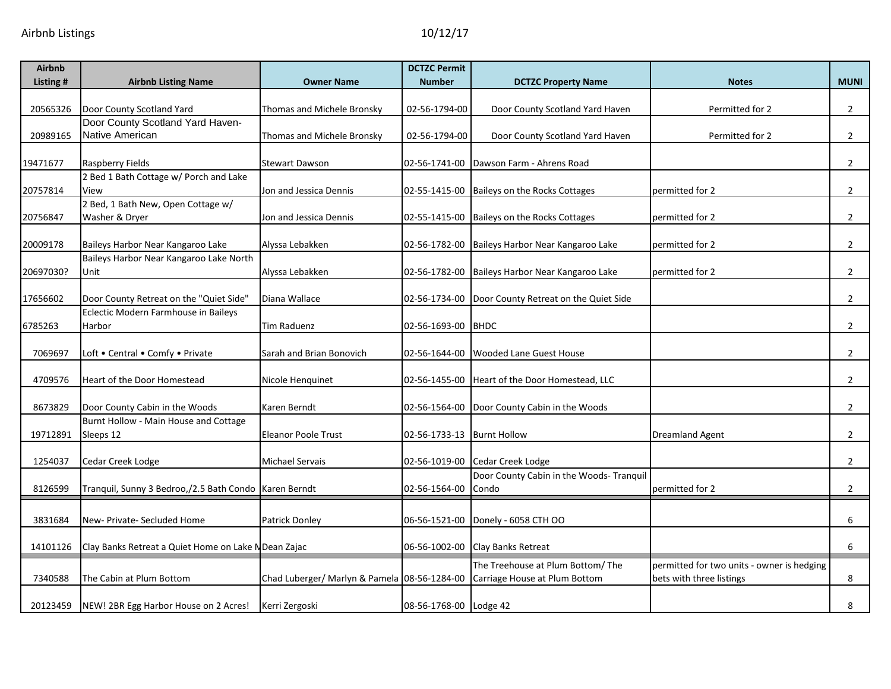| <b>Airbnb</b> |                                                         |                                              | <b>DCTZC Permit</b>        |                                                   |                                            |                |
|---------------|---------------------------------------------------------|----------------------------------------------|----------------------------|---------------------------------------------------|--------------------------------------------|----------------|
| Listing #     | <b>Airbnb Listing Name</b>                              | <b>Owner Name</b>                            | <b>Number</b>              | <b>DCTZC Property Name</b>                        | <b>Notes</b>                               | <b>MUNI</b>    |
| 20565326      | Door County Scotland Yard                               | Thomas and Michele Bronsky                   | 02-56-1794-00              | Door County Scotland Yard Haven                   | Permitted for 2                            | $\overline{2}$ |
|               | Door County Scotland Yard Haven-                        |                                              |                            |                                                   |                                            |                |
| 20989165      | Native American                                         | Thomas and Michele Bronsky                   | 02-56-1794-00              | Door County Scotland Yard Haven                   | Permitted for 2                            | $\overline{2}$ |
| 19471677      | Raspberry Fields                                        | <b>Stewart Dawson</b>                        | 02-56-1741-00              | Dawson Farm - Ahrens Road                         |                                            | $2^{\circ}$    |
| 20757814      | 2 Bed 1 Bath Cottage w/ Porch and Lake<br>View          | Jon and Jessica Dennis                       |                            | 02-55-1415-00 Baileys on the Rocks Cottages       | permitted for 2                            | $\overline{2}$ |
|               | 2 Bed, 1 Bath New, Open Cottage w/                      |                                              |                            |                                                   |                                            |                |
| 20756847      | Washer & Dryer                                          | Jon and Jessica Dennis                       |                            | 02-55-1415-00 Baileys on the Rocks Cottages       | permitted for 2                            | $\overline{2}$ |
| 20009178      | Baileys Harbor Near Kangaroo Lake                       | Alyssa Lebakken                              | 02-56-1782-00              | Baileys Harbor Near Kangaroo Lake                 | permitted for 2                            | $2^{\circ}$    |
|               | Baileys Harbor Near Kangaroo Lake North                 |                                              |                            |                                                   |                                            |                |
| 20697030?     | Unit                                                    | Alyssa Lebakken                              | 02-56-1782-00              | Baileys Harbor Near Kangaroo Lake                 | permitted for 2                            | $\overline{2}$ |
| 17656602      | Door County Retreat on the "Quiet Side"                 | Diana Wallace                                | 02-56-1734-00              | Door County Retreat on the Quiet Side             |                                            | $\overline{2}$ |
|               | Eclectic Modern Farmhouse in Baileys                    |                                              |                            |                                                   |                                            |                |
| 6785263       | Harbor                                                  | Tim Raduenz                                  | 02-56-1693-00              | BHDC                                              |                                            | $2^{\circ}$    |
| 7069697       | Loft . Central . Comfy . Private                        | Sarah and Brian Bonovich                     | 02-56-1644-00              | Wooded Lane Guest House                           |                                            | $2^{\circ}$    |
| 4709576       | Heart of the Door Homestead                             | Nicole Henguinet                             | 02-56-1455-00              | Heart of the Door Homestead, LLC                  |                                            | $\overline{2}$ |
| 8673829       | Door County Cabin in the Woods                          | Karen Berndt                                 | 02-56-1564-00              | Door County Cabin in the Woods                    |                                            | $2^{\circ}$    |
|               | Burnt Hollow - Main House and Cottage                   |                                              |                            |                                                   |                                            |                |
| 19712891      | Sleeps 12                                               | <b>Eleanor Poole Trust</b>                   | 02-56-1733-13 Burnt Hollow |                                                   | <b>Dreamland Agent</b>                     | $\overline{2}$ |
| 1254037       | Cedar Creek Lodge                                       | <b>Michael Servais</b>                       | 02-56-1019-00              | Cedar Creek Lodge                                 |                                            | $\overline{2}$ |
| 8126599       | Tranquil, Sunny 3 Bedroo,/2.5 Bath Condo   Karen Berndt |                                              | 02-56-1564-00              | Door County Cabin in the Woods- Tranquil<br>Condo | permitted for 2                            | $2^{\circ}$    |
| 3831684       | New- Private- Secluded Home                             | Patrick Donley                               | 06-56-1521-00              | Donely - 6058 CTH OO                              |                                            | 6              |
| 14101126      | Clay Banks Retreat a Quiet Home on Lake N Dean Zajac    |                                              | 06-56-1002-00              | <b>Clay Banks Retreat</b>                         |                                            | 6              |
|               |                                                         |                                              |                            | The Treehouse at Plum Bottom/The                  | permitted for two units - owner is hedging |                |
| 7340588       | The Cabin at Plum Bottom                                | Chad Luberger/ Marlyn & Pamela 08-56-1284-00 |                            | Carriage House at Plum Bottom                     | bets with three listings                   | 8              |
| 20123459      | NEW! 2BR Egg Harbor House on 2 Acres!                   | Kerri Zergoski                               | 08-56-1768-00 Lodge 42     |                                                   |                                            | 8              |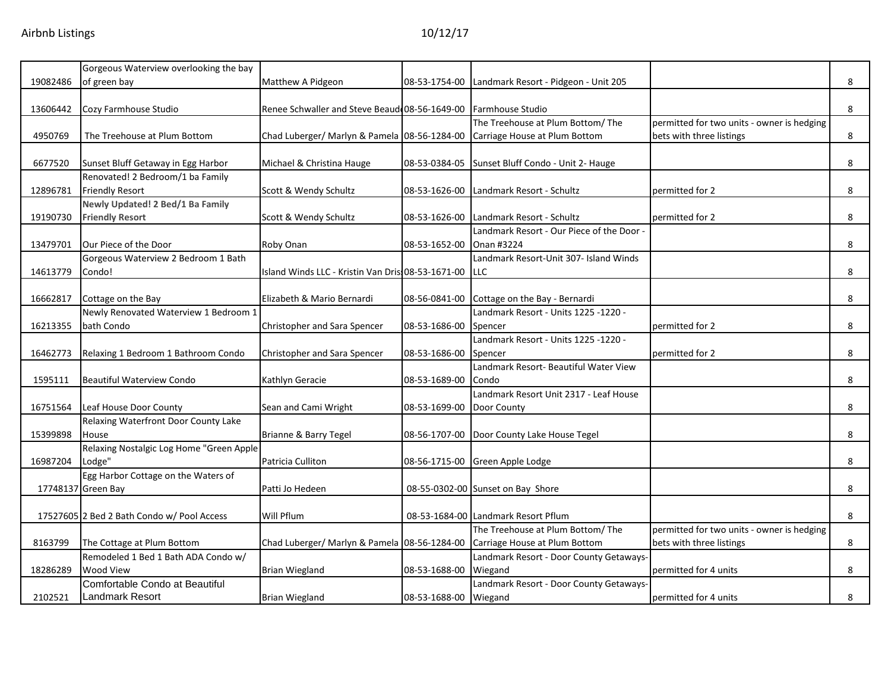|          | Gorgeous Waterview overlooking the bay     |                                                    |               |                                           |                                            |   |
|----------|--------------------------------------------|----------------------------------------------------|---------------|-------------------------------------------|--------------------------------------------|---|
| 19082486 | of green bay                               | Matthew A Pidgeon                                  | 08-53-1754-00 | Landmark Resort - Pidgeon - Unit 205      |                                            | 8 |
|          |                                            |                                                    |               |                                           |                                            |   |
| 13606442 | Cozy Farmhouse Studio                      | Renee Schwaller and Steve Beaud 08-56-1649-00      |               | Farmhouse Studio                          |                                            | 8 |
|          |                                            |                                                    |               | The Treehouse at Plum Bottom/ The         | permitted for two units - owner is hedging |   |
| 4950769  | The Treehouse at Plum Bottom               | Chad Luberger/ Marlyn & Pamela 08-56-1284-00       |               | Carriage House at Plum Bottom             | bets with three listings                   | 8 |
|          |                                            |                                                    |               |                                           |                                            |   |
| 6677520  | Sunset Bluff Getaway in Egg Harbor         | Michael & Christina Hauge                          | 08-53-0384-05 | Sunset Bluff Condo - Unit 2- Hauge        |                                            | 8 |
|          | Renovated! 2 Bedroom/1 ba Family           |                                                    |               |                                           |                                            |   |
| 12896781 | <b>Friendly Resort</b>                     | Scott & Wendy Schultz                              | 08-53-1626-00 | Landmark Resort - Schultz                 | permitted for 2                            | 8 |
|          | Newly Updated! 2 Bed/1 Ba Family           |                                                    |               |                                           |                                            |   |
| 19190730 | <b>Friendly Resort</b>                     | Scott & Wendy Schultz                              | 08-53-1626-00 | Landmark Resort - Schultz                 | permitted for 2                            | 8 |
|          |                                            |                                                    |               | Landmark Resort - Our Piece of the Door - |                                            |   |
|          | Our Piece of the Door                      |                                                    |               | Onan #3224                                |                                            | 8 |
| 13479701 |                                            | Roby Onan                                          | 08-53-1652-00 |                                           |                                            |   |
|          | Gorgeous Waterview 2 Bedroom 1 Bath        |                                                    |               | Landmark Resort-Unit 307- Island Winds    |                                            |   |
| 14613779 | Condo!                                     | Island Winds LLC - Kristin Van Dris: 08-53-1671-00 |               | <b>LLC</b>                                |                                            | 8 |
|          |                                            |                                                    |               |                                           |                                            |   |
| 16662817 | Cottage on the Bay                         | Elizabeth & Mario Bernardi                         | 08-56-0841-00 | Cottage on the Bay - Bernardi             |                                            | 8 |
|          | Newly Renovated Waterview 1 Bedroom 1      |                                                    |               | - Landmark Resort - Units 1225 -1220      |                                            |   |
| 16213355 | bath Condo                                 | Christopher and Sara Spencer                       | 08-53-1686-00 | Spencer                                   | permitted for 2                            | 8 |
|          |                                            |                                                    |               | Landmark Resort - Units 1225 -1220 -      |                                            |   |
| 16462773 | Relaxing 1 Bedroom 1 Bathroom Condo        | Christopher and Sara Spencer                       | 08-53-1686-00 | Spencer                                   | permitted for 2                            | 8 |
|          |                                            |                                                    |               | Landmark Resort- Beautiful Water View     |                                            |   |
| 1595111  | <b>Beautiful Waterview Condo</b>           | Kathlyn Geracie                                    | 08-53-1689-00 | Condo                                     |                                            | 8 |
|          |                                            |                                                    |               | Landmark Resort Unit 2317 - Leaf House    |                                            |   |
| 16751564 | Leaf House Door County                     | Sean and Cami Wright                               | 08-53-1699-00 | Door County                               |                                            | 8 |
|          | Relaxing Waterfront Door County Lake       |                                                    |               |                                           |                                            |   |
| 15399898 | House                                      | Brianne & Barry Tegel                              | 08-56-1707-00 | Door County Lake House Tegel              |                                            | 8 |
|          | Relaxing Nostalgic Log Home "Green Apple   |                                                    |               |                                           |                                            |   |
| 16987204 | Lodge"                                     | Patricia Culliton                                  | 08-56-1715-00 | Green Apple Lodge                         |                                            | 8 |
|          | Egg Harbor Cottage on the Waters of        |                                                    |               |                                           |                                            |   |
|          | 17748137 Green Bay                         | Patti Jo Hedeen                                    |               | 08-55-0302-00 Sunset on Bay Shore         |                                            | 8 |
|          |                                            |                                                    |               |                                           |                                            |   |
|          | 17527605 2 Bed 2 Bath Condo w/ Pool Access | Will Pflum                                         |               | 08-53-1684-00 Landmark Resort Pflum       |                                            | 8 |
|          |                                            |                                                    |               | The Treehouse at Plum Bottom/The          | permitted for two units - owner is hedging |   |
|          |                                            |                                                    |               |                                           |                                            |   |
| 8163799  | The Cottage at Plum Bottom                 | Chad Luberger/ Marlyn & Pamela 08-56-1284-00       |               | Carriage House at Plum Bottom             | bets with three listings                   | 8 |
|          | Remodeled 1 Bed 1 Bath ADA Condo w/        |                                                    |               | Landmark Resort - Door County Getaways-   |                                            |   |
| 18286289 | <b>Wood View</b>                           | <b>Brian Wiegland</b>                              | 08-53-1688-00 | Wiegand                                   | permitted for 4 units                      | 8 |
|          | Comfortable Condo at Beautiful             |                                                    |               | Landmark Resort - Door County Getaways-   |                                            |   |
| 2102521  | <b>Landmark Resort</b>                     | <b>Brian Wiegland</b>                              | 08-53-1688-00 | Wiegand                                   | permitted for 4 units                      | 8 |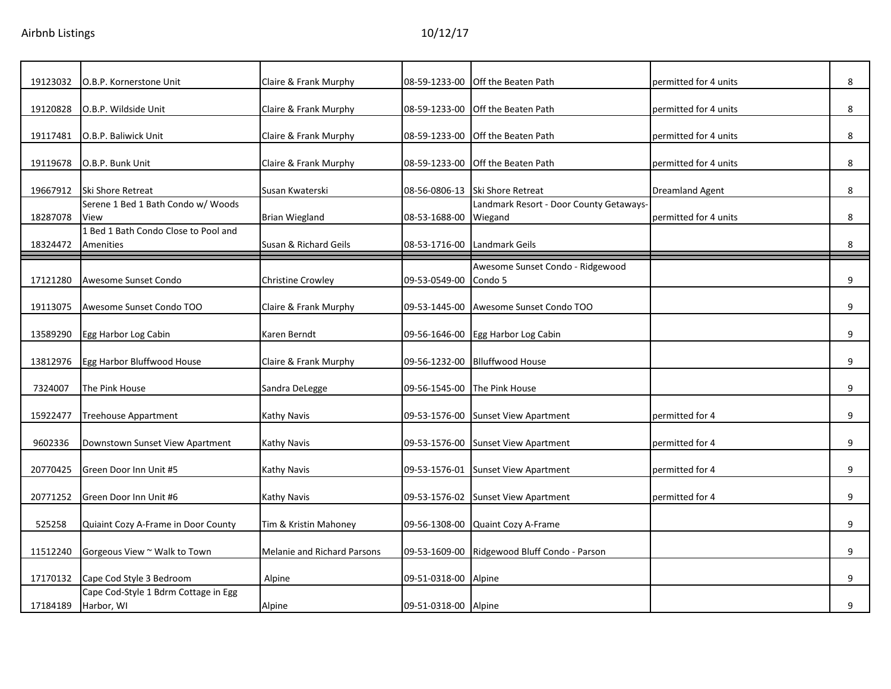| 19123032 | O.B.P. Kornerstone Unit              | Claire & Frank Murphy       | 08-59-1233-00        | Off the Beaten Path                     | permitted for 4 units  | 8 |
|----------|--------------------------------------|-----------------------------|----------------------|-----------------------------------------|------------------------|---|
|          |                                      |                             |                      |                                         |                        |   |
| 19120828 | O.B.P. Wildside Unit                 | Claire & Frank Murphy       | 08-59-1233-00        | Off the Beaten Path                     | permitted for 4 units  | 8 |
| 19117481 | O.B.P. Baliwick Unit                 | Claire & Frank Murphy       | 08-59-1233-00        | Off the Beaten Path                     | permitted for 4 units  | 8 |
|          |                                      |                             |                      |                                         |                        |   |
| 19119678 | O.B.P. Bunk Unit                     | Claire & Frank Murphy       | 08-59-1233-00        | Off the Beaten Path                     | permitted for 4 units  | 8 |
| 19667912 | Ski Shore Retreat                    | Susan Kwaterski             | 08-56-0806-13        | <b>Ski Shore Retreat</b>                | <b>Dreamland Agent</b> | 8 |
|          | Serene 1 Bed 1 Bath Condo w/ Woods   |                             |                      | Landmark Resort - Door County Getaways- |                        |   |
| 18287078 | View                                 | <b>Brian Wiegland</b>       | 08-53-1688-00        | Wiegand                                 | permitted for 4 units  | 8 |
|          | 1 Bed 1 Bath Condo Close to Pool and |                             |                      |                                         |                        |   |
| 18324472 | Amenities                            | Susan & Richard Geils       | 08-53-1716-00        | Landmark Geils                          |                        | 8 |
|          |                                      |                             |                      | Awesome Sunset Condo - Ridgewood        |                        |   |
| 17121280 | Awesome Sunset Condo                 | <b>Christine Crowley</b>    | 09-53-0549-00        | Condo 5                                 |                        | 9 |
|          |                                      |                             |                      |                                         |                        |   |
| 19113075 | Awesome Sunset Condo TOO             | Claire & Frank Murphy       |                      | 09-53-1445-00 Awesome Sunset Condo TOO  |                        | 9 |
|          |                                      |                             |                      |                                         |                        |   |
| 13589290 | Egg Harbor Log Cabin                 | Karen Berndt                | 09-56-1646-00        | Egg Harbor Log Cabin                    |                        | 9 |
|          |                                      |                             |                      |                                         |                        |   |
| 13812976 | Egg Harbor Bluffwood House           | Claire & Frank Murphy       | 09-56-1232-00        | <b>Blluffwood House</b>                 |                        | 9 |
|          |                                      |                             |                      |                                         |                        |   |
| 7324007  | The Pink House                       | Sandra DeLegge              | 09-56-1545-00        | The Pink House                          |                        | 9 |
| 15922477 | Treehouse Appartment                 | Kathy Navis                 | 09-53-1576-00        | <b>Sunset View Apartment</b>            | permitted for 4        | 9 |
|          |                                      |                             |                      |                                         |                        |   |
| 9602336  | Downstown Sunset View Apartment      | Kathy Navis                 | 09-53-1576-00        | <b>Sunset View Apartment</b>            | permitted for 4        | 9 |
|          |                                      |                             |                      |                                         |                        |   |
| 20770425 | Green Door Inn Unit #5               | Kathy Navis                 | 09-53-1576-01        | <b>Sunset View Apartment</b>            | permitted for 4        | 9 |
| 20771252 | Green Door Inn Unit #6               | Kathy Navis                 | 09-53-1576-02        | <b>Sunset View Apartment</b>            | permitted for 4        | 9 |
|          |                                      |                             |                      |                                         |                        |   |
| 525258   | Quiaint Cozy A-Frame in Door County  | Tim & Kristin Mahoney       | 09-56-1308-00        | Quaint Cozy A-Frame                     |                        | 9 |
|          |                                      |                             |                      |                                         |                        |   |
| 11512240 | Gorgeous View ~ Walk to Town         | Melanie and Richard Parsons | 09-53-1609-00        | Ridgewood Bluff Condo - Parson          |                        | 9 |
|          |                                      |                             |                      |                                         |                        |   |
| 17170132 | Cape Cod Style 3 Bedroom             | Alpine                      | 09-51-0318-00        | Alpine                                  |                        | 9 |
|          | Cape Cod-Style 1 Bdrm Cottage in Egg |                             |                      |                                         |                        |   |
| 17184189 | Harbor, WI                           | Alpine                      | 09-51-0318-00 Alpine |                                         |                        | 9 |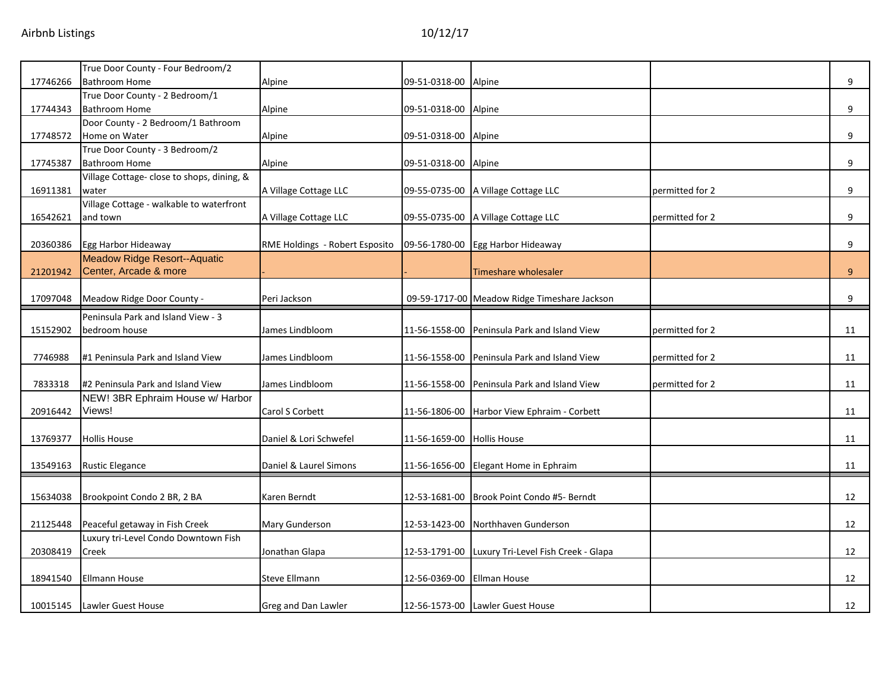|          | True Door County - Four Bedroom/2          |                                |                            |                                              |                 |    |
|----------|--------------------------------------------|--------------------------------|----------------------------|----------------------------------------------|-----------------|----|
| 17746266 | Bathroom Home                              | Alpine                         | 09-51-0318-00              | Alpine                                       |                 | 9  |
|          | True Door County - 2 Bedroom/1             |                                |                            |                                              |                 |    |
| 17744343 | <b>Bathroom Home</b>                       | Alpine                         | 09-51-0318-00              | Alpine                                       |                 | 9  |
|          | Door County - 2 Bedroom/1 Bathroom         |                                |                            |                                              |                 |    |
| 17748572 | Home on Water                              | Alpine                         | 09-51-0318-00              | Alpine                                       |                 | 9  |
|          | True Door County - 3 Bedroom/2             |                                |                            |                                              |                 |    |
| 17745387 | <b>Bathroom Home</b>                       | Alpine                         | 09-51-0318-00              | Alpine                                       |                 | 9  |
|          | Village Cottage- close to shops, dining, & |                                |                            |                                              |                 |    |
| 16911381 | water                                      | A Village Cottage LLC          | 09-55-0735-00              | A Village Cottage LLC                        | permitted for 2 | 9  |
|          | Village Cottage - walkable to waterfront   |                                |                            |                                              |                 |    |
| 16542621 | and town                                   | A Village Cottage LLC          | 09-55-0735-00              | A Village Cottage LLC                        | permitted for 2 | 9  |
|          |                                            |                                |                            |                                              |                 |    |
| 20360386 | Egg Harbor Hideaway                        | RME Holdings - Robert Esposito |                            | 09-56-1780-00 Egg Harbor Hideaway            |                 | 9  |
|          | <b>Meadow Ridge Resort--Aquatic</b>        |                                |                            |                                              |                 |    |
| 21201942 | Center, Arcade & more                      |                                |                            | Timeshare wholesaler                         |                 | 9  |
|          |                                            |                                |                            |                                              |                 |    |
| 17097048 | Meadow Ridge Door County -                 | Peri Jackson                   |                            | 09-59-1717-00 Meadow Ridge Timeshare Jackson |                 | 9  |
|          | Peninsula Park and Island View - 3         |                                |                            |                                              |                 |    |
| 15152902 | bedroom house                              | James Lindbloom                | 11-56-1558-00              | Peninsula Park and Island View               | permitted for 2 | 11 |
|          |                                            |                                |                            |                                              |                 |    |
| 7746988  | #1 Peninsula Park and Island View          | James Lindbloom                | 11-56-1558-00              | Peninsula Park and Island View               | permitted for 2 | 11 |
|          |                                            |                                |                            |                                              |                 |    |
| 7833318  | #2 Peninsula Park and Island View          | James Lindbloom                | 11-56-1558-00              | Peninsula Park and Island View               | permitted for 2 | 11 |
|          | NEW! 3BR Ephraim House w/ Harbor           |                                |                            |                                              |                 |    |
| 20916442 | Views!                                     | Carol S Corbett                |                            | 11-56-1806-00 Harbor View Ephraim - Corbett  |                 | 11 |
|          |                                            |                                |                            |                                              |                 |    |
| 13769377 | <b>Hollis House</b>                        | Daniel & Lori Schwefel         | 11-56-1659-00 Hollis House |                                              |                 | 11 |
|          |                                            |                                |                            |                                              |                 |    |
| 13549163 | <b>Rustic Elegance</b>                     | Daniel & Laurel Simons         | 11-56-1656-00              | Elegant Home in Ephraim                      |                 | 11 |
|          |                                            |                                |                            |                                              |                 |    |
| 15634038 | Brookpoint Condo 2 BR, 2 BA                | Karen Berndt                   | 12-53-1681-00              | Brook Point Condo #5- Berndt                 |                 | 12 |
|          |                                            |                                |                            |                                              |                 |    |
| 21125448 | Peaceful getaway in Fish Creek             | Mary Gunderson                 | 12-53-1423-00              | Northhaven Gunderson                         |                 | 12 |
|          | Luxury tri-Level Condo Downtown Fish       |                                |                            |                                              |                 |    |
| 20308419 | Creek                                      | Jonathan Glapa                 | 12-53-1791-00              | Luxury Tri-Level Fish Creek - Glapa          |                 | 12 |
|          |                                            |                                |                            |                                              |                 |    |
| 18941540 | Ellmann House                              | Steve Ellmann                  | 12-56-0369-00              | <b>Ellman House</b>                          |                 | 12 |
|          |                                            |                                |                            |                                              |                 |    |
| 10015145 | Lawler Guest House                         | Greg and Dan Lawler            |                            | 12-56-1573-00 Lawler Guest House             |                 | 12 |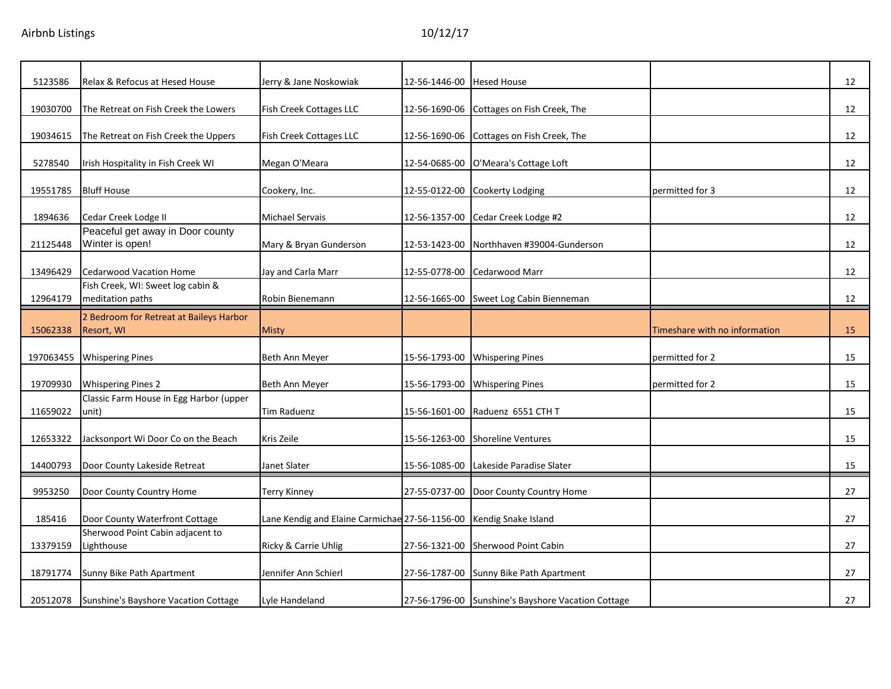| Jerry & Jane Noskowiak<br>12-56-1446-00<br>Fish Creek Cottages LLC<br>12-56-1690-06 | <b>Hesed House</b><br>Cottages on Fish Creek, The                                                                                                                                                            |                                                                                                                                                                                                                                                                                                                                                                                                                                                                                                                                                                                              | 12              |
|-------------------------------------------------------------------------------------|--------------------------------------------------------------------------------------------------------------------------------------------------------------------------------------------------------------|----------------------------------------------------------------------------------------------------------------------------------------------------------------------------------------------------------------------------------------------------------------------------------------------------------------------------------------------------------------------------------------------------------------------------------------------------------------------------------------------------------------------------------------------------------------------------------------------|-----------------|
|                                                                                     |                                                                                                                                                                                                              |                                                                                                                                                                                                                                                                                                                                                                                                                                                                                                                                                                                              |                 |
|                                                                                     |                                                                                                                                                                                                              |                                                                                                                                                                                                                                                                                                                                                                                                                                                                                                                                                                                              | 12              |
|                                                                                     |                                                                                                                                                                                                              |                                                                                                                                                                                                                                                                                                                                                                                                                                                                                                                                                                                              | 12              |
|                                                                                     |                                                                                                                                                                                                              |                                                                                                                                                                                                                                                                                                                                                                                                                                                                                                                                                                                              | 12              |
|                                                                                     |                                                                                                                                                                                                              |                                                                                                                                                                                                                                                                                                                                                                                                                                                                                                                                                                                              | 12              |
|                                                                                     |                                                                                                                                                                                                              |                                                                                                                                                                                                                                                                                                                                                                                                                                                                                                                                                                                              | 12              |
|                                                                                     |                                                                                                                                                                                                              |                                                                                                                                                                                                                                                                                                                                                                                                                                                                                                                                                                                              | 12              |
|                                                                                     |                                                                                                                                                                                                              |                                                                                                                                                                                                                                                                                                                                                                                                                                                                                                                                                                                              | 12              |
|                                                                                     |                                                                                                                                                                                                              |                                                                                                                                                                                                                                                                                                                                                                                                                                                                                                                                                                                              |                 |
|                                                                                     |                                                                                                                                                                                                              |                                                                                                                                                                                                                                                                                                                                                                                                                                                                                                                                                                                              | 12              |
|                                                                                     |                                                                                                                                                                                                              | Timeshare with no information                                                                                                                                                                                                                                                                                                                                                                                                                                                                                                                                                                | 15              |
|                                                                                     | <b>Whispering Pines</b>                                                                                                                                                                                      | permitted for 2                                                                                                                                                                                                                                                                                                                                                                                                                                                                                                                                                                              | 15              |
|                                                                                     |                                                                                                                                                                                                              | permitted for 2                                                                                                                                                                                                                                                                                                                                                                                                                                                                                                                                                                              | 15              |
| 15-56-1601-00                                                                       | Raduenz 6551 CTH T                                                                                                                                                                                           |                                                                                                                                                                                                                                                                                                                                                                                                                                                                                                                                                                                              | 15              |
|                                                                                     | <b>Shoreline Ventures</b>                                                                                                                                                                                    |                                                                                                                                                                                                                                                                                                                                                                                                                                                                                                                                                                                              | 15              |
|                                                                                     |                                                                                                                                                                                                              |                                                                                                                                                                                                                                                                                                                                                                                                                                                                                                                                                                                              | 15              |
|                                                                                     |                                                                                                                                                                                                              |                                                                                                                                                                                                                                                                                                                                                                                                                                                                                                                                                                                              | 27              |
|                                                                                     |                                                                                                                                                                                                              |                                                                                                                                                                                                                                                                                                                                                                                                                                                                                                                                                                                              | 27              |
|                                                                                     | Sherwood Point Cabin                                                                                                                                                                                         |                                                                                                                                                                                                                                                                                                                                                                                                                                                                                                                                                                                              | 27              |
|                                                                                     |                                                                                                                                                                                                              |                                                                                                                                                                                                                                                                                                                                                                                                                                                                                                                                                                                              | 27              |
|                                                                                     |                                                                                                                                                                                                              |                                                                                                                                                                                                                                                                                                                                                                                                                                                                                                                                                                                              | 27              |
|                                                                                     | Fish Creek Cottages LLC<br>12-56-1690-06<br>12-54-0685-00<br>Mary & Bryan Gunderson<br>12-53-1423-00<br>12-55-0778-00<br>Jay and Carla Marr<br>Ricky & Carrie Uhlig<br>Jennifer Ann Schierl<br>27-56-1787-00 | Cottages on Fish Creek, The<br>O'Meara's Cottage Loft<br>12-55-0122-00<br><b>Cookerty Lodging</b><br>12-56-1357-00<br>Cedar Creek Lodge #2<br>Northhaven #39004-Gunderson<br><b>Cedarwood Marr</b><br>12-56-1665-00<br>Sweet Log Cabin Bienneman<br>15-56-1793-00<br>15-56-1793-00<br><b>Whispering Pines</b><br>15-56-1263-00<br>15-56-1085-00 Lakeside Paradise Slater<br>27-55-0737-00 Door County Country Home<br>Lane Kendig and Elaine Carmichae 27-56-1156-00 Kendig Snake Island<br>27-56-1321-00<br>Sunny Bike Path Apartment<br>27-56-1796-00 Sunshine's Bayshore Vacation Cottage | permitted for 3 |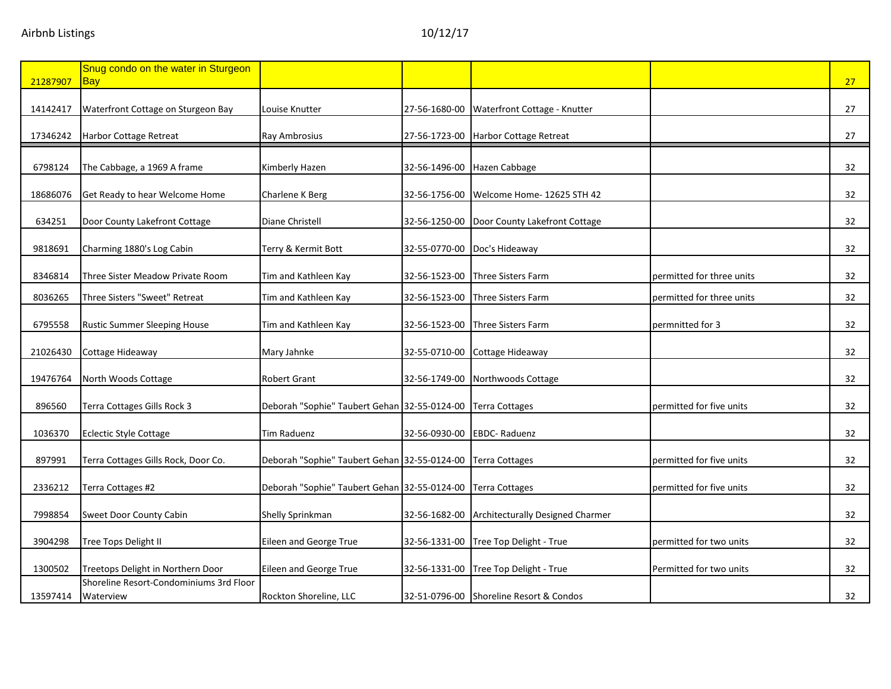| 21287907 | Snug condo on the water in Sturgeon<br>Bay           |                                              |               |                                         |                           | 27              |
|----------|------------------------------------------------------|----------------------------------------------|---------------|-----------------------------------------|---------------------------|-----------------|
| 14142417 | Waterfront Cottage on Sturgeon Bay                   | Louise Knutter                               | 27-56-1680-00 | Waterfront Cottage - Knutter            |                           | 27              |
| 17346242 | <b>Harbor Cottage Retreat</b>                        | Ray Ambrosius                                | 27-56-1723-00 | Harbor Cottage Retreat                  |                           | 27              |
| 6798124  | The Cabbage, a 1969 A frame                          | Kimberly Hazen                               | 32-56-1496-00 | Hazen Cabbage                           |                           | 32              |
| 18686076 | Get Ready to hear Welcome Home                       | Charlene K Berg                              | 32-56-1756-00 | Welcome Home- 12625 STH 42              |                           | 32              |
| 634251   | Door County Lakefront Cottage                        | Diane Christell                              | 32-56-1250-00 | Door County Lakefront Cottage           |                           | 32              |
| 9818691  | Charming 1880's Log Cabin                            | Terry & Kermit Bott                          | 32-55-0770-00 | Doc's Hideaway                          |                           | 32              |
| 8346814  | Three Sister Meadow Private Room                     | Tim and Kathleen Kay                         | 32-56-1523-00 | Three Sisters Farm                      | permitted for three units | 32              |
| 8036265  | Three Sisters "Sweet" Retreat                        | Tim and Kathleen Kay                         | 32-56-1523-00 | Three Sisters Farm                      | permitted for three units | 32 <sup>2</sup> |
| 6795558  | Rustic Summer Sleeping House                         | Tim and Kathleen Kay                         | 32-56-1523-00 | Three Sisters Farm                      | permnitted for 3          | 32              |
| 21026430 | Cottage Hideaway                                     | Mary Jahnke                                  | 32-55-0710-00 | Cottage Hideaway                        |                           | 32 <sup>2</sup> |
| 19476764 | North Woods Cottage                                  | <b>Robert Grant</b>                          | 32-56-1749-00 | Northwoods Cottage                      |                           | 32              |
| 896560   | Terra Cottages Gills Rock 3                          | Deborah "Sophie" Taubert Gehan 32-55-0124-00 |               | <b>Terra Cottages</b>                   | permitted for five units  | 32              |
| 1036370  | <b>Eclectic Style Cottage</b>                        | Tim Raduenz                                  | 32-56-0930-00 | <b>EBDC-Raduenz</b>                     |                           | 32              |
| 897991   | Terra Cottages Gills Rock, Door Co.                  | Deborah "Sophie" Taubert Gehan 32-55-0124-00 |               | <b>Terra Cottages</b>                   | permitted for five units  | 32 <sup>2</sup> |
| 2336212  | Terra Cottages #2                                    | Deborah "Sophie" Taubert Gehan 32-55-0124-00 |               | <b>Terra Cottages</b>                   | permitted for five units  | 32              |
| 7998854  | Sweet Door County Cabin                              | Shelly Sprinkman                             | 32-56-1682-00 | Architecturally Designed Charmer        |                           | 32              |
| 3904298  | Tree Tops Delight II                                 | Eileen and George True                       | 32-56-1331-00 | Tree Top Delight - True                 | permitted for two units   | 32 <sup>2</sup> |
| 1300502  | Treetops Delight in Northern Door                    | Eileen and George True                       | 32-56-1331-00 | Tree Top Delight - True                 | Permitted for two units   | 32              |
| 13597414 | Shoreline Resort-Condominiums 3rd Floor<br>Waterview | Rockton Shoreline, LLC                       |               | 32-51-0796-00 Shoreline Resort & Condos |                           | 32              |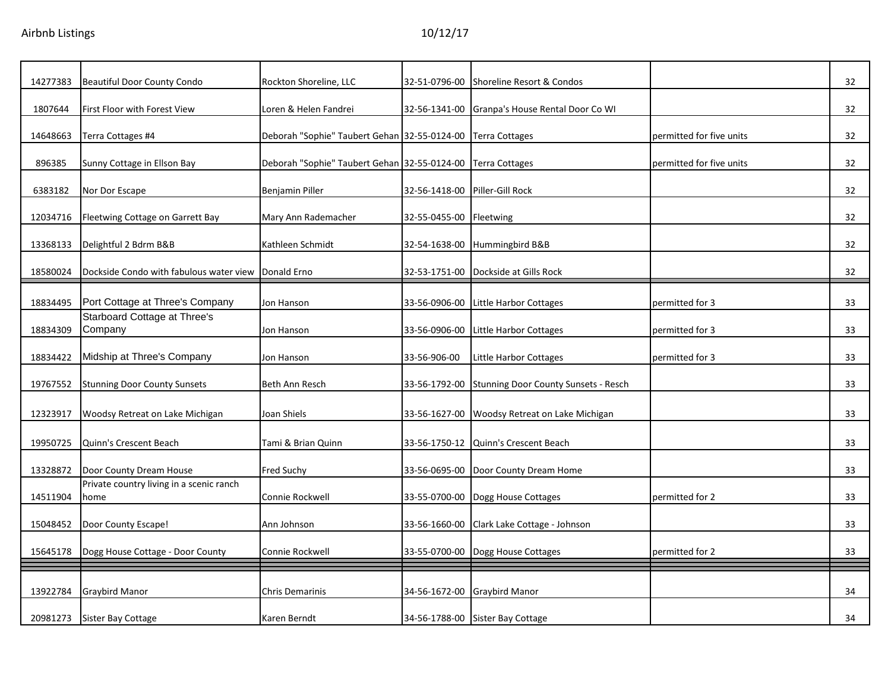| 14277383 | <b>Beautiful Door County Condo</b>                  | Rockton Shoreline, LLC                       | 32-51-0796-00 | Shoreline Resort & Condos            |                          | 32 |
|----------|-----------------------------------------------------|----------------------------------------------|---------------|--------------------------------------|--------------------------|----|
| 1807644  | First Floor with Forest View                        | Loren & Helen Fandrei                        | 32-56-1341-00 | Granpa's House Rental Door Co WI     |                          | 32 |
|          |                                                     |                                              |               |                                      |                          |    |
| 14648663 | Terra Cottages #4                                   | Deborah "Sophie" Taubert Gehan 32-55-0124-00 |               | <b>Terra Cottages</b>                | permitted for five units | 32 |
| 896385   | Sunny Cottage in Ellson Bay                         | Deborah "Sophie" Taubert Gehan 32-55-0124-00 |               | <b>Terra Cottages</b>                | permitted for five units | 32 |
| 6383182  | Nor Dor Escape                                      | Benjamin Piller                              | 32-56-1418-00 | Piller-Gill Rock                     |                          | 32 |
| 12034716 | Fleetwing Cottage on Garrett Bay                    | Mary Ann Rademacher                          | 32-55-0455-00 | Fleetwing                            |                          | 32 |
|          |                                                     |                                              |               |                                      |                          |    |
| 13368133 | Delightful 2 Bdrm B&B                               | Kathleen Schmidt                             | 32-54-1638-00 | Hummingbird B&B                      |                          | 32 |
| 18580024 | Dockside Condo with fabulous water view Donald Erno |                                              | 32-53-1751-00 | Dockside at Gills Rock               |                          | 32 |
|          |                                                     |                                              |               |                                      |                          |    |
| 18834495 | Port Cottage at Three's Company                     | Jon Hanson                                   | 33-56-0906-00 | Little Harbor Cottages               | permitted for 3          | 33 |
| 18834309 | Starboard Cottage at Three's<br>Company             | Jon Hanson                                   | 33-56-0906-00 | Little Harbor Cottages               | permitted for 3          | 33 |
| 18834422 | Midship at Three's Company                          | Jon Hanson                                   | 33-56-906-00  | Little Harbor Cottages               | permitted for 3          | 33 |
|          |                                                     |                                              |               |                                      |                          |    |
| 19767552 | <b>Stunning Door County Sunsets</b>                 | Beth Ann Resch                               | 33-56-1792-00 | Stunning Door County Sunsets - Resch |                          | 33 |
| 12323917 | Woodsy Retreat on Lake Michigan                     | Joan Shiels                                  | 33-56-1627-00 | Woodsy Retreat on Lake Michigan      |                          | 33 |
|          |                                                     |                                              |               |                                      |                          |    |
| 19950725 | Quinn's Crescent Beach                              | Tami & Brian Quinn                           |               | 33-56-1750-12 Quinn's Crescent Beach |                          | 33 |
| 13328872 | Door County Dream House                             | Fred Suchy                                   | 33-56-0695-00 | Door County Dream Home               |                          | 33 |
|          | Private country living in a scenic ranch            |                                              |               |                                      |                          |    |
| 14511904 | home                                                | Connie Rockwell                              | 33-55-0700-00 | Dogg House Cottages                  | permitted for 2          | 33 |
| 15048452 | Door County Escape!                                 | Ann Johnson                                  | 33-56-1660-00 | Clark Lake Cottage - Johnson         |                          | 33 |
| 15645178 | Dogg House Cottage - Door County                    | Connie Rockwell                              |               | 33-55-0700-00 Dogg House Cottages    | permitted for 2          | 33 |
|          |                                                     |                                              |               |                                      |                          |    |
| 13922784 | <b>Graybird Manor</b>                               | <b>Chris Demarinis</b>                       | 34-56-1672-00 | <b>Graybird Manor</b>                |                          | 34 |
| 20981273 | Sister Bay Cottage                                  | Karen Berndt                                 |               | 34-56-1788-00 Sister Bay Cottage     |                          | 34 |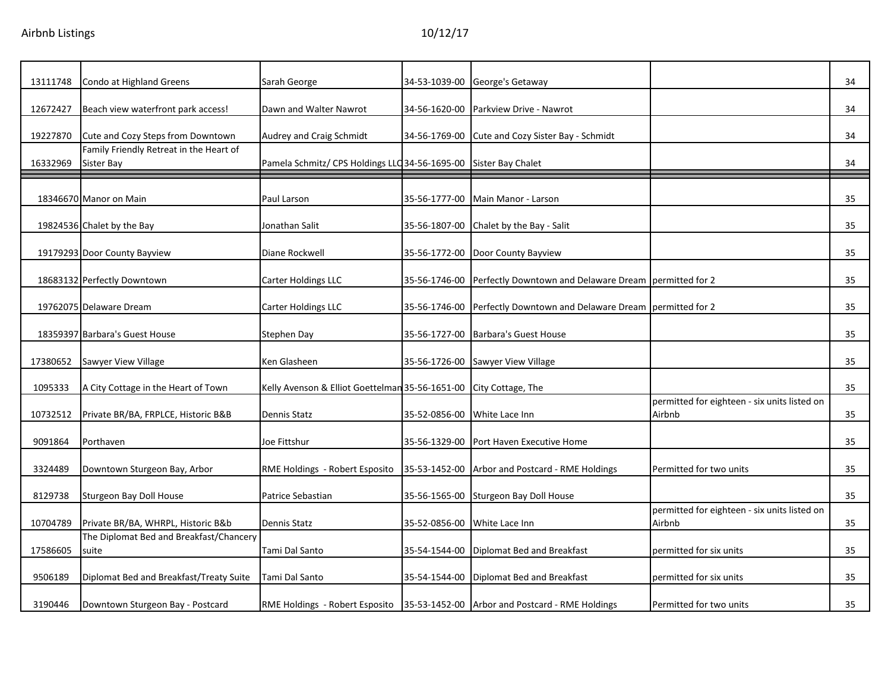| 13111748 | Condo at Highland Greens                              | Sarah George                                                     | 34-53-1039-00 | George's Getaway                                                                   |                                                        | 34 |
|----------|-------------------------------------------------------|------------------------------------------------------------------|---------------|------------------------------------------------------------------------------------|--------------------------------------------------------|----|
| 12672427 | Beach view waterfront park access!                    | Dawn and Walter Nawrot                                           | 34-56-1620-00 | Parkview Drive - Nawrot                                                            |                                                        | 34 |
| 19227870 | Cute and Cozy Steps from Downtown                     | Audrey and Craig Schmidt                                         | 34-56-1769-00 | Cute and Cozy Sister Bay - Schmidt                                                 |                                                        | 34 |
| 16332969 | Family Friendly Retreat in the Heart of<br>Sister Bay | Pamela Schmitz/ CPS Holdings LLC 34-56-1695-00 Sister Bay Chalet |               |                                                                                    |                                                        | 34 |
|          | 18346670 Manor on Main                                | Paul Larson                                                      | 35-56-1777-00 | Main Manor - Larson                                                                |                                                        | 35 |
|          | 19824536 Chalet by the Bay                            | Jonathan Salit                                                   | 35-56-1807-00 | Chalet by the Bay - Salit                                                          |                                                        | 35 |
|          | 19179293 Door County Bayview                          | Diane Rockwell                                                   | 35-56-1772-00 | Door County Bayview                                                                |                                                        | 35 |
|          | 18683132 Perfectly Downtown                           | Carter Holdings LLC                                              | 35-56-1746-00 | Perfectly Downtown and Delaware Dream permitted for 2                              |                                                        | 35 |
|          | 19762075 Delaware Dream                               | Carter Holdings LLC                                              | 35-56-1746-00 | Perfectly Downtown and Delaware Dream permitted for 2                              |                                                        | 35 |
|          | 18359397 Barbara's Guest House                        | Stephen Day                                                      | 35-56-1727-00 | <b>Barbara's Guest House</b>                                                       |                                                        | 35 |
| 17380652 | <b>Sawyer View Village</b>                            | Ken Glasheen                                                     | 35-56-1726-00 | <b>Sawyer View Village</b>                                                         |                                                        | 35 |
| 1095333  | A City Cottage in the Heart of Town                   | Kelly Avenson & Elliot Goettelman 35-56-1651-00                  |               | City Cottage, The                                                                  |                                                        | 35 |
| 10732512 | Private BR/BA, FRPLCE, Historic B&B                   | Dennis Statz                                                     | 35-52-0856-00 | White Lace Inn                                                                     | permitted for eighteen - six units listed on<br>Airbnb | 35 |
| 9091864  | Porthaven                                             | Joe Fittshur                                                     | 35-56-1329-00 | Port Haven Executive Home                                                          |                                                        | 35 |
| 3324489  | Downtown Sturgeon Bay, Arbor                          | RME Holdings - Robert Esposito                                   | 35-53-1452-00 | Arbor and Postcard - RME Holdings                                                  | Permitted for two units                                | 35 |
| 8129738  | Sturgeon Bay Doll House                               | Patrice Sebastian                                                | 35-56-1565-00 | Sturgeon Bay Doll House                                                            |                                                        | 35 |
| 10704789 | Private BR/BA, WHRPL, Historic B&b                    | Dennis Statz                                                     | 35-52-0856-00 | White Lace Inn                                                                     | permitted for eighteen - six units listed on<br>Airbnb | 35 |
| 17586605 | The Diplomat Bed and Breakfast/Chancery<br>suite      | Tami Dal Santo                                                   | 35-54-1544-00 | Diplomat Bed and Breakfast                                                         | permitted for six units                                | 35 |
| 9506189  | Diplomat Bed and Breakfast/Treaty Suite               | Tami Dal Santo                                                   | 35-54-1544-00 | Diplomat Bed and Breakfast                                                         | permitted for six units                                | 35 |
| 3190446  | Downtown Sturgeon Bay - Postcard                      |                                                                  |               | RME Holdings - Robert Esposito   35-53-1452-00   Arbor and Postcard - RME Holdings | Permitted for two units                                | 35 |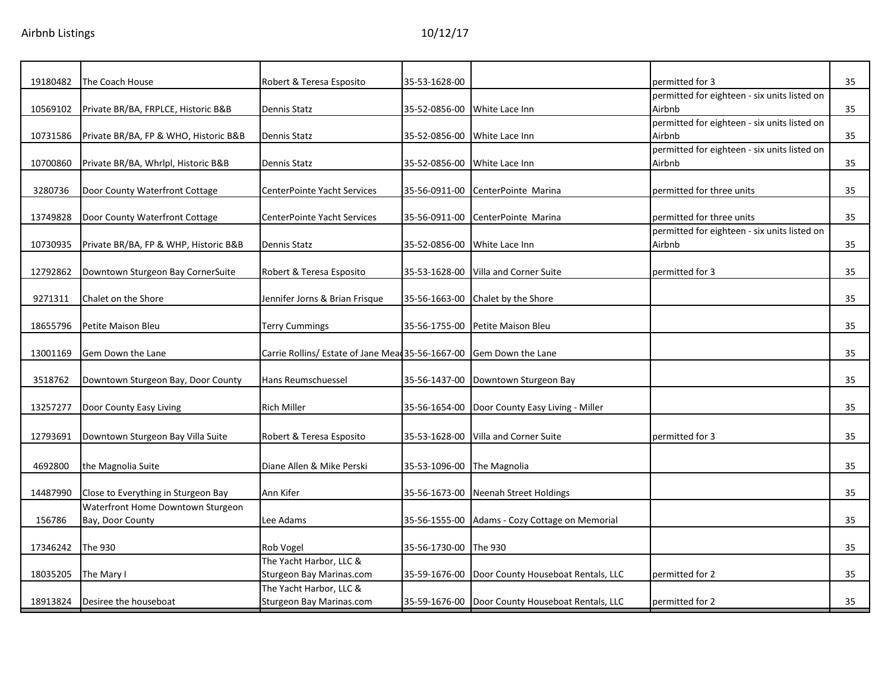| 19180482 | The Coach House                       | Robert & Teresa Esposito                                            | 35-53-1628-00 |                                                  | permitted for 3                              | 35 |
|----------|---------------------------------------|---------------------------------------------------------------------|---------------|--------------------------------------------------|----------------------------------------------|----|
|          |                                       |                                                                     |               |                                                  | permitted for eighteen - six units listed on |    |
| 10569102 | Private BR/BA, FRPLCE, Historic B&B   | Dennis Statz                                                        | 35-52-0856-00 | White Lace Inn                                   | Airbnb                                       | 35 |
|          |                                       |                                                                     |               |                                                  | permitted for eighteen - six units listed on |    |
| 10731586 | Private BR/BA, FP & WHO, Historic B&B | Dennis Statz                                                        | 35-52-0856-00 | White Lace Inn                                   | Airbnb                                       | 35 |
|          |                                       |                                                                     |               |                                                  | permitted for eighteen - six units listed on |    |
| 10700860 | Private BR/BA, Whrlpl, Historic B&B   | Dennis Statz                                                        |               | 35-52-0856-00 White Lace Inn                     | Airbnb                                       | 35 |
|          |                                       |                                                                     |               |                                                  |                                              |    |
| 3280736  | Door County Waterfront Cottage        | CenterPointe Yacht Services                                         | 35-56-0911-00 | CenterPointe Marina                              | permitted for three units                    | 35 |
|          |                                       |                                                                     |               |                                                  |                                              |    |
| 13749828 | Door County Waterfront Cottage        | CenterPointe Yacht Services                                         |               | 35-56-0911-00 CenterPointe Marina                | permitted for three units                    | 35 |
|          |                                       |                                                                     |               |                                                  | permitted for eighteen - six units listed on |    |
| 10730935 | Private BR/BA, FP & WHP, Historic B&B | Dennis Statz                                                        | 35-52-0856-00 | White Lace Inn                                   | Airbnb                                       | 35 |
|          |                                       |                                                                     |               |                                                  |                                              |    |
| 12792862 | Downtown Sturgeon Bay CornerSuite     | Robert & Teresa Esposito                                            | 35-53-1628-00 | Villa and Corner Suite                           | permitted for 3                              | 35 |
|          |                                       |                                                                     |               |                                                  |                                              |    |
| 9271311  | Chalet on the Shore                   | Jennifer Jorns & Brian Frisque                                      |               | 35-56-1663-00 Chalet by the Shore                |                                              | 35 |
|          |                                       |                                                                     |               |                                                  |                                              |    |
| 18655796 | Petite Maison Bleu                    | <b>Terry Cummings</b>                                               | 35-56-1755-00 | Petite Maison Bleu                               |                                              | 35 |
|          |                                       |                                                                     |               |                                                  |                                              |    |
| 13001169 | Gem Down the Lane                     | Carrie Rollins/ Estate of Jane Mead 35-56-1667-00 Gem Down the Lane |               |                                                  |                                              | 35 |
|          |                                       |                                                                     |               |                                                  |                                              |    |
| 3518762  | Downtown Sturgeon Bay, Door County    | Hans Reumschuessel                                                  |               | 35-56-1437-00 Downtown Sturgeon Bay              |                                              | 35 |
|          |                                       |                                                                     |               |                                                  |                                              |    |
| 13257277 | Door County Easy Living               | <b>Rich Miller</b>                                                  |               | 35-56-1654-00   Door County Easy Living - Miller |                                              | 35 |
|          |                                       |                                                                     |               |                                                  |                                              |    |
| 12793691 | Downtown Sturgeon Bay Villa Suite     | Robert & Teresa Esposito                                            | 35-53-1628-00 | Villa and Corner Suite                           | permitted for 3                              | 35 |
|          |                                       |                                                                     |               |                                                  |                                              |    |
| 4692800  | the Magnolia Suite                    | Diane Allen & Mike Perski                                           | 35-53-1096-00 | The Magnolia                                     |                                              | 35 |
|          |                                       |                                                                     |               |                                                  |                                              |    |
| 14487990 | Close to Everything in Sturgeon Bay   | Ann Kifer                                                           | 35-56-1673-00 | Neenah Street Holdings                           |                                              | 35 |
|          | Waterfront Home Downtown Sturgeon     |                                                                     |               |                                                  |                                              |    |
| 156786   | Bay, Door County                      | Lee Adams                                                           | 35-56-1555-00 | Adams - Cozy Cottage on Memorial                 |                                              | 35 |
|          |                                       |                                                                     |               |                                                  |                                              |    |
| 17346242 | The 930                               | Rob Vogel                                                           | 35-56-1730-00 | The 930                                          |                                              | 35 |
|          |                                       | The Yacht Harbor, LLC &                                             |               |                                                  |                                              |    |
| 18035205 | The Mary I                            | Sturgeon Bay Marinas.com                                            | 35-59-1676-00 | Door County Houseboat Rentals, LLC               | permitted for 2                              | 35 |
|          |                                       | The Yacht Harbor, LLC &                                             |               |                                                  |                                              |    |
| 18913824 | Desiree the houseboat                 | <b>Sturgeon Bay Marinas.com</b>                                     |               | 35-59-1676-00 Door County Houseboat Rentals, LLC | permitted for 2                              | 35 |
|          |                                       |                                                                     |               |                                                  |                                              |    |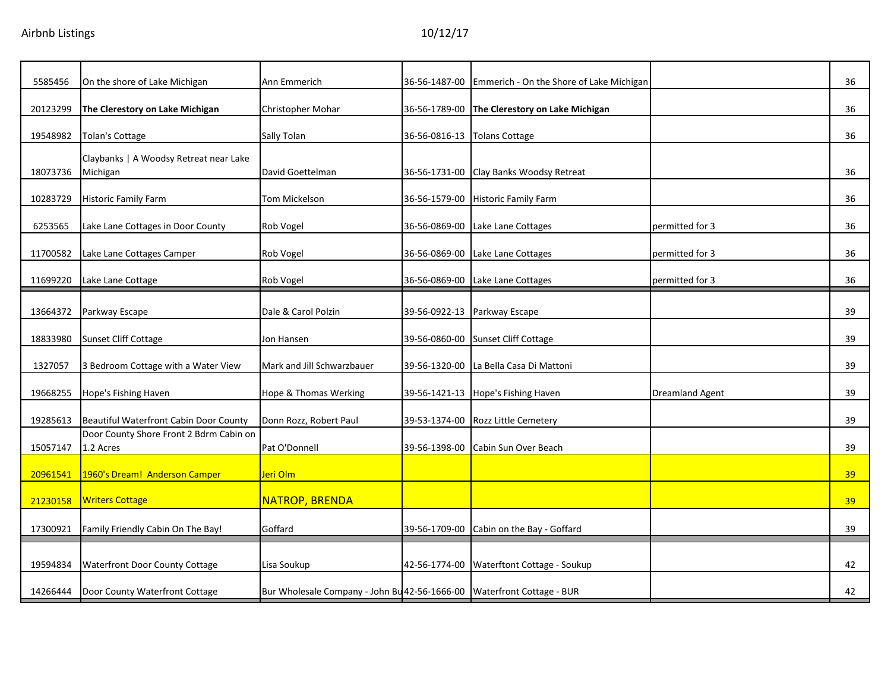| 5585456  | On the shore of Lake Michigan                        | Ann Emmerich                                                           | 36-56-1487-00 | Emmerich - On the Shore of Lake Michigan |                        | 36              |
|----------|------------------------------------------------------|------------------------------------------------------------------------|---------------|------------------------------------------|------------------------|-----------------|
| 20123299 | The Clerestory on Lake Michigan                      | Christopher Mohar                                                      | 36-56-1789-00 | The Clerestory on Lake Michigan          |                        | 36              |
| 19548982 | Tolan's Cottage                                      | Sally Tolan                                                            | 36-56-0816-13 | <b>Tolans Cottage</b>                    |                        | 36              |
| 18073736 | Claybanks   A Woodsy Retreat near Lake<br>Michigan   | David Goettelman                                                       |               | 36-56-1731-00 Clay Banks Woodsy Retreat  |                        | 36              |
| 10283729 | <b>Historic Family Farm</b>                          | Tom Mickelson                                                          | 36-56-1579-00 | <b>Historic Family Farm</b>              |                        | 36              |
| 6253565  | Lake Lane Cottages in Door County                    | Rob Vogel                                                              | 36-56-0869-00 | Lake Lane Cottages                       | permitted for 3        | 36              |
| 11700582 | Lake Lane Cottages Camper                            | Rob Vogel                                                              | 36-56-0869-00 | Lake Lane Cottages                       | permitted for 3        | 36              |
| 11699220 | Lake Lane Cottage                                    | Rob Vogel                                                              | 36-56-0869-00 | Lake Lane Cottages                       | permitted for 3        | 36              |
| 13664372 | Parkway Escape                                       | Dale & Carol Polzin                                                    |               | 39-56-0922-13 Parkway Escape             |                        | 39              |
| 18833980 | Sunset Cliff Cottage                                 | Jon Hansen                                                             | 39-56-0860-00 | Sunset Cliff Cottage                     |                        | 39              |
| 1327057  | 3 Bedroom Cottage with a Water View                  | Mark and Jill Schwarzbauer                                             | 39-56-1320-00 | La Bella Casa Di Mattoni                 |                        | 39              |
| 19668255 | Hope's Fishing Haven                                 | Hope & Thomas Werking                                                  | 39-56-1421-13 | Hope's Fishing Haven                     | <b>Dreamland Agent</b> | 39              |
| 19285613 | Beautiful Waterfront Cabin Door County               | Donn Rozz, Robert Paul                                                 | 39-53-1374-00 | <b>Rozz Little Cemetery</b>              |                        | 39              |
| 15057147 | Door County Shore Front 2 Bdrm Cabin on<br>1.2 Acres | Pat O'Donnell                                                          | 39-56-1398-00 | Cabin Sun Over Beach                     |                        | 39              |
| 20961541 | 1960's Dream! Anderson Camper                        | Jeri Olm                                                               |               |                                          |                        | 39              |
| 21230158 | <b>Writers Cottage</b>                               | <b>NATROP, BRENDA</b>                                                  |               |                                          |                        | 39 <sup>°</sup> |
| 17300921 | Family Friendly Cabin On The Bay!                    | Goffard                                                                | 39-56-1709-00 | Cabin on the Bay - Goffard               |                        | 39              |
| 19594834 | <b>Waterfront Door County Cottage</b>                | Lisa Soukup                                                            | 42-56-1774-00 | Waterftont Cottage - Soukup              |                        | 42              |
| 14266444 | Door County Waterfront Cottage                       | Bur Wholesale Company - John Bu 42-56-1666-00 Waterfront Cottage - BUR |               |                                          |                        | 42              |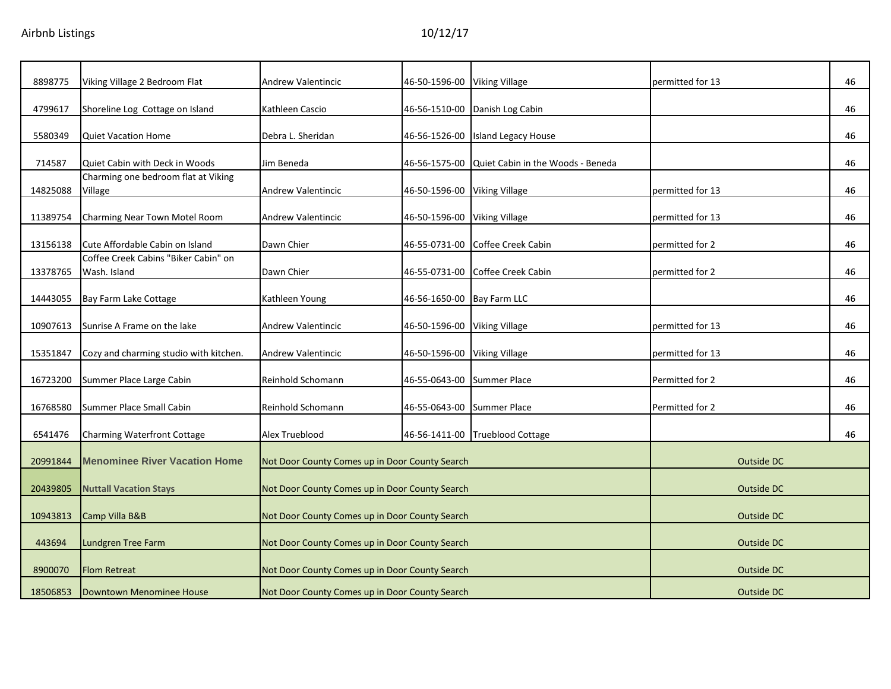| 8898775  | Viking Village 2 Bedroom Flat                        | <b>Andrew Valentincic</b>                      | 46-50-1596-00              | <b>Viking Village</b>             | permitted for 13  | 46 |
|----------|------------------------------------------------------|------------------------------------------------|----------------------------|-----------------------------------|-------------------|----|
| 4799617  | Shoreline Log Cottage on Island                      | Kathleen Cascio                                | 46-56-1510-00              | Danish Log Cabin                  |                   | 46 |
| 5580349  | Quiet Vacation Home                                  | Debra L. Sheridan                              | 46-56-1526-00              | <b>Island Legacy House</b>        |                   | 46 |
| 714587   | Quiet Cabin with Deck in Woods                       | Jim Beneda                                     | 46-56-1575-00              | Quiet Cabin in the Woods - Beneda |                   | 46 |
| 14825088 | Charming one bedroom flat at Viking<br>Village       | Andrew Valentincic                             | 46-50-1596-00              | <b>Viking Village</b>             | permitted for 13  | 46 |
| 11389754 | Charming Near Town Motel Room                        | <b>Andrew Valentincic</b>                      | 46-50-1596-00              | <b>Viking Village</b>             | permitted for 13  | 46 |
| 13156138 | Cute Affordable Cabin on Island                      | Dawn Chier                                     | 46-55-0731-00              | Coffee Creek Cabin                | permitted for 2   | 46 |
| 13378765 | Coffee Creek Cabins "Biker Cabin" on<br>Wash. Island | Dawn Chier                                     | 46-55-0731-00              | Coffee Creek Cabin                | permitted for 2   | 46 |
| 14443055 | Bay Farm Lake Cottage                                | Kathleen Young                                 | 46-56-1650-00 Bay Farm LLC |                                   |                   | 46 |
| 10907613 | Sunrise A Frame on the lake                          | <b>Andrew Valentincic</b>                      | 46-50-1596-00              | <b>Viking Village</b>             | permitted for 13  | 46 |
| 15351847 | Cozy and charming studio with kitchen.               | <b>Andrew Valentincic</b>                      | 46-50-1596-00              | <b>Viking Village</b>             | permitted for 13  | 46 |
| 16723200 | Summer Place Large Cabin                             | Reinhold Schomann                              | 46-55-0643-00              | <b>Summer Place</b>               | Permitted for 2   | 46 |
| 16768580 | Summer Place Small Cabin                             | Reinhold Schomann                              | 46-55-0643-00              | <b>Summer Place</b>               | Permitted for 2   | 46 |
| 6541476  | Charming Waterfront Cottage                          | Alex Trueblood                                 |                            | 46-56-1411-00 Trueblood Cottage   |                   | 46 |
| 20991844 | <b>Menominee River Vacation Home</b>                 | Not Door County Comes up in Door County Search |                            |                                   | Outside DC        |    |
| 20439805 | <b>Nuttall Vacation Stays</b>                        | Not Door County Comes up in Door County Search |                            |                                   | <b>Outside DC</b> |    |
| 10943813 | Camp Villa B&B                                       | Not Door County Comes up in Door County Search |                            |                                   | <b>Outside DC</b> |    |
| 443694   | Lundgren Tree Farm                                   | Not Door County Comes up in Door County Search |                            |                                   | Outside DC        |    |
| 8900070  | <b>Flom Retreat</b>                                  | Not Door County Comes up in Door County Search |                            |                                   | Outside DC        |    |
| 18506853 | Downtown Menominee House                             | Not Door County Comes up in Door County Search |                            |                                   | Outside DC        |    |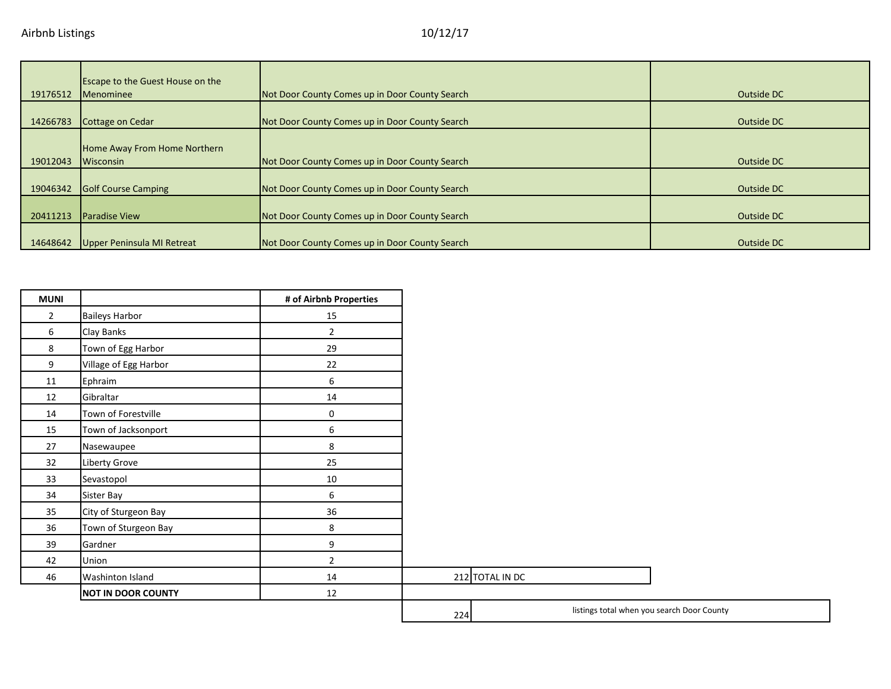|          | <b>Escape to the Guest House on the</b> |                                                |            |
|----------|-----------------------------------------|------------------------------------------------|------------|
| 19176512 | <b>Menominee</b>                        | Not Door County Comes up in Door County Search | Outside DC |
| 14266783 | Cottage on Cedar                        | Not Door County Comes up in Door County Search | Outside DC |
|          | Home Away From Home Northern            |                                                |            |
| 19012043 | Wisconsin                               | Not Door County Comes up in Door County Search | Outside DC |
| 19046342 | <b>Golf Course Camping</b>              | Not Door County Comes up in Door County Search | Outside DC |
| 20411213 | <b>Paradise View</b>                    | Not Door County Comes up in Door County Search | Outside DC |
| 14648642 | Upper Peninsula MI Retreat              | Not Door County Comes up in Door County Search | Outside DC |

| <b>MUNI</b>    |                           | # of Airbnb Properties |                 |
|----------------|---------------------------|------------------------|-----------------|
| $\overline{2}$ | <b>Baileys Harbor</b>     | 15                     |                 |
| 6              | Clay Banks                | $\overline{2}$         |                 |
| 8              | Town of Egg Harbor        | 29                     |                 |
| 9              | Village of Egg Harbor     | 22                     |                 |
| 11             | Ephraim                   | 6                      |                 |
| 12             | Gibraltar                 | 14                     |                 |
| 14             | Town of Forestville       | 0                      |                 |
| 15             | Town of Jacksonport       | 6                      |                 |
| 27             | Nasewaupee                | 8                      |                 |
| 32             | Liberty Grove             | 25                     |                 |
| 33             | Sevastopol                | $10\,$                 |                 |
| 34             | Sister Bay                | 6                      |                 |
| 35             | City of Sturgeon Bay      | 36                     |                 |
| 36             | Town of Sturgeon Bay      | 8                      |                 |
| 39             | Gardner                   | 9                      |                 |
| 42             | Union                     | $\overline{2}$         |                 |
| 46             | Washinton Island          | 14                     | 212 TOTAL IN DC |
|                | <b>NOT IN DOOR COUNTY</b> | 12                     |                 |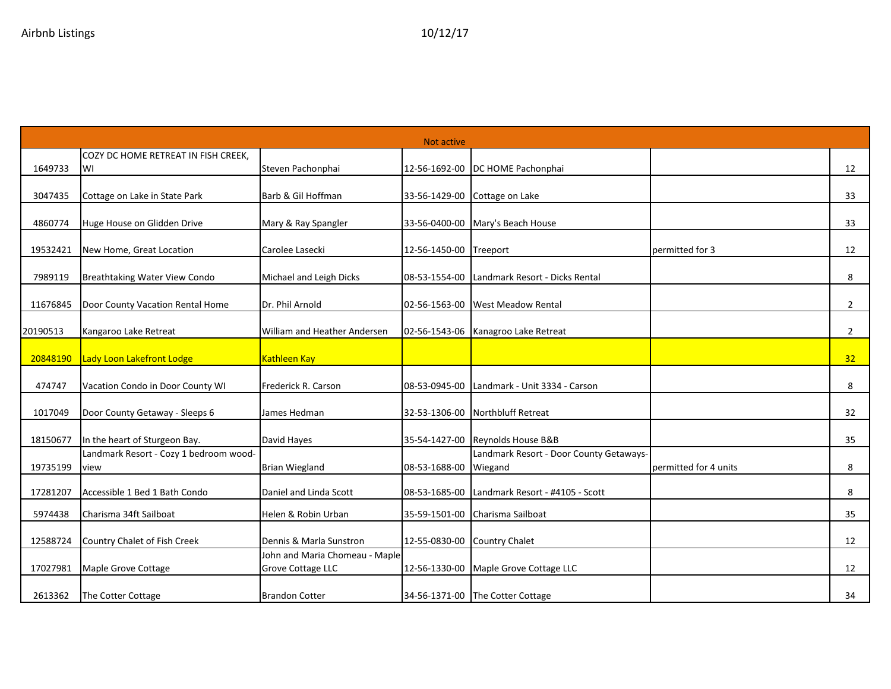| Not active |                                                |                                                     |                        |                                                    |                       |                 |  |
|------------|------------------------------------------------|-----------------------------------------------------|------------------------|----------------------------------------------------|-----------------------|-----------------|--|
|            | COZY DC HOME RETREAT IN FISH CREEK,            |                                                     |                        |                                                    |                       |                 |  |
| 1649733    | WI                                             | Steven Pachonphai                                   | 12-56-1692-00          | DC HOME Pachonphai                                 |                       | 12              |  |
| 3047435    | Cottage on Lake in State Park                  | Barb & Gil Hoffman                                  | 33-56-1429-00          | Cottage on Lake                                    |                       | 33              |  |
| 4860774    | Huge House on Glidden Drive                    | Mary & Ray Spangler                                 |                        | 33-56-0400-00 Mary's Beach House                   |                       | 33              |  |
| 19532421   | New Home, Great Location                       | Carolee Lasecki                                     | 12-56-1450-00 Treeport |                                                    | permitted for 3       | 12              |  |
| 7989119    | Breathtaking Water View Condo                  | Michael and Leigh Dicks                             | 08-53-1554-00          | Landmark Resort - Dicks Rental                     |                       | 8               |  |
| 11676845   | Door County Vacation Rental Home               | Dr. Phil Arnold                                     | 02-56-1563-00          | <b>West Meadow Rental</b>                          |                       | $\overline{2}$  |  |
| 20190513   | Kangaroo Lake Retreat                          | William and Heather Andersen                        |                        | 02-56-1543-06 Kanagroo Lake Retreat                |                       | $\overline{2}$  |  |
| 20848190   | Lady Loon Lakefront Lodge                      | Kathleen Kay                                        |                        |                                                    |                       | 32 <sub>2</sub> |  |
| 474747     | Vacation Condo in Door County WI               | Frederick R. Carson                                 | 08-53-0945-00          | Landmark - Unit 3334 - Carson                      |                       | 8               |  |
| 1017049    | Door County Getaway - Sleeps 6                 | James Hedman                                        | 32-53-1306-00          | Northbluff Retreat                                 |                       | 32              |  |
| 18150677   | In the heart of Sturgeon Bay.                  | David Hayes                                         |                        | 35-54-1427-00 Reynolds House B&B                   |                       | 35              |  |
| 19735199   | Landmark Resort - Cozy 1 bedroom wood-<br>view | <b>Brian Wiegland</b>                               | 08-53-1688-00          | Landmark Resort - Door County Getaways-<br>Wiegand | permitted for 4 units | 8               |  |
| 17281207   | Accessible 1 Bed 1 Bath Condo                  | Daniel and Linda Scott                              | 08-53-1685-00          | Landmark Resort - #4105 - Scott                    |                       | 8               |  |
| 5974438    | Charisma 34ft Sailboat                         | Helen & Robin Urban                                 | 35-59-1501-00          | Charisma Sailboat                                  |                       | 35              |  |
| 12588724   | Country Chalet of Fish Creek                   | Dennis & Marla Sunstron                             | 12-55-0830-00          | <b>Country Chalet</b>                              |                       | 12              |  |
| 17027981   | Maple Grove Cottage                            | John and Maria Chomeau - Maple<br>Grove Cottage LLC |                        | 12-56-1330-00 Maple Grove Cottage LLC              |                       | 12              |  |
| 2613362    | The Cotter Cottage                             | <b>Brandon Cotter</b>                               |                        | 34-56-1371-00 The Cotter Cottage                   |                       | 34              |  |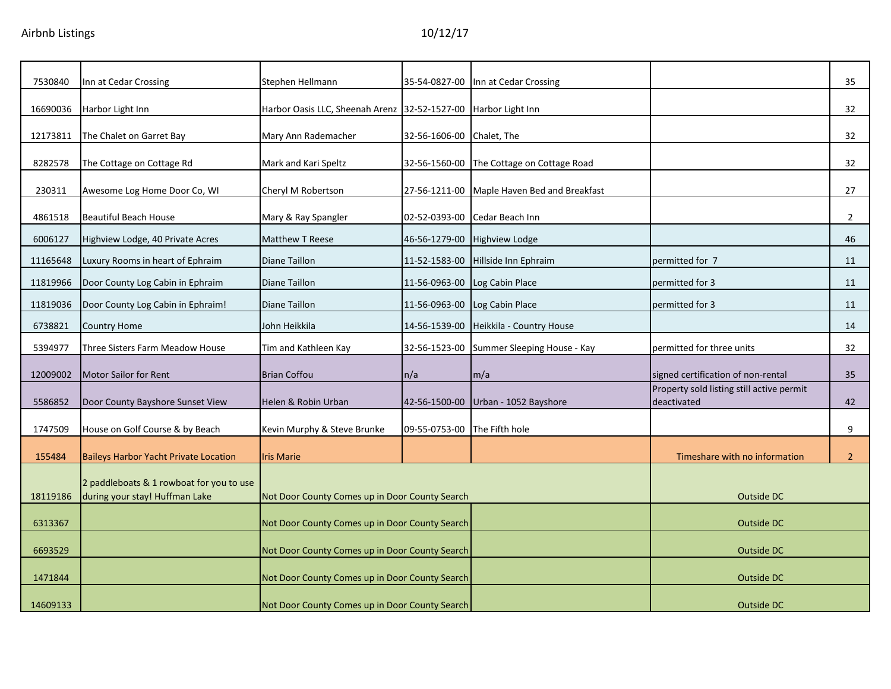| 7530840  | Inn at Cedar Crossing                                                      | Stephen Hellmann                                               | 35-54-0827-00 | Inn at Cedar Crossing                     |                                                          | 35              |
|----------|----------------------------------------------------------------------------|----------------------------------------------------------------|---------------|-------------------------------------------|----------------------------------------------------------|-----------------|
| 16690036 | Harbor Light Inn                                                           | Harbor Oasis LLC, Sheenah Arenz 32-52-1527-00 Harbor Light Inn |               |                                           |                                                          | 32              |
| 12173811 | The Chalet on Garret Bay                                                   | Mary Ann Rademacher                                            | 32-56-1606-00 | Chalet, The                               |                                                          | 32              |
| 8282578  | The Cottage on Cottage Rd                                                  | Mark and Kari Speltz                                           | 32-56-1560-00 | The Cottage on Cottage Road               |                                                          | 32              |
| 230311   | Awesome Log Home Door Co, WI                                               | Cheryl M Robertson                                             | 27-56-1211-00 | Maple Haven Bed and Breakfast             |                                                          | 27              |
| 4861518  | <b>Beautiful Beach House</b>                                               | Mary & Ray Spangler                                            | 02-52-0393-00 | Cedar Beach Inn                           |                                                          | $\overline{2}$  |
| 6006127  | Highview Lodge, 40 Private Acres                                           | <b>Matthew T Reese</b>                                         | 46-56-1279-00 | <b>Highview Lodge</b>                     |                                                          | 46              |
| 11165648 | Luxury Rooms in heart of Ephraim                                           | <b>Diane Taillon</b>                                           | 11-52-1583-00 | Hillside Inn Ephraim                      | permitted for 7                                          | 11              |
| 11819966 | Door County Log Cabin in Ephraim                                           | Diane Taillon                                                  | 11-56-0963-00 | Log Cabin Place                           | permitted for 3                                          | 11              |
| 11819036 | Door County Log Cabin in Ephraim!                                          | Diane Taillon                                                  | 11-56-0963-00 | Log Cabin Place                           | permitted for 3                                          | 11              |
| 6738821  | <b>Country Home</b>                                                        | John Heikkila                                                  | 14-56-1539-00 | Heikkila - Country House                  |                                                          | 14              |
| 5394977  | Three Sisters Farm Meadow House                                            | Tim and Kathleen Kay                                           |               | 32-56-1523-00 Summer Sleeping House - Kay | permitted for three units                                | 32              |
| 12009002 | <b>Motor Sailor for Rent</b>                                               | <b>Brian Coffou</b>                                            | n/a           | m/a                                       | signed certification of non-rental                       | 35 <sub>2</sub> |
| 5586852  | Door County Bayshore Sunset View                                           | Helen & Robin Urban                                            | 42-56-1500-00 | Urban - 1052 Bayshore                     | Property sold listing still active permit<br>deactivated | 42              |
| 1747509  | House on Golf Course & by Beach                                            | Kevin Murphy & Steve Brunke                                    | 09-55-0753-00 | The Fifth hole                            |                                                          | 9               |
| 155484   | <b>Baileys Harbor Yacht Private Location</b>                               | <b>Iris Marie</b>                                              |               |                                           | Timeshare with no information                            | 2 <sup>2</sup>  |
| 18119186 | 2 paddleboats & 1 rowboat for you to use<br>during your stay! Huffman Lake | Not Door County Comes up in Door County Search                 |               |                                           | Outside DC                                               |                 |
| 6313367  |                                                                            | Not Door County Comes up in Door County Search                 |               |                                           | Outside DC                                               |                 |
| 6693529  |                                                                            | Not Door County Comes up in Door County Search                 |               |                                           | Outside DC                                               |                 |
| 1471844  |                                                                            | Not Door County Comes up in Door County Search                 |               |                                           | Outside DC                                               |                 |
| 14609133 |                                                                            | Not Door County Comes up in Door County Search                 |               |                                           | <b>Outside DC</b>                                        |                 |